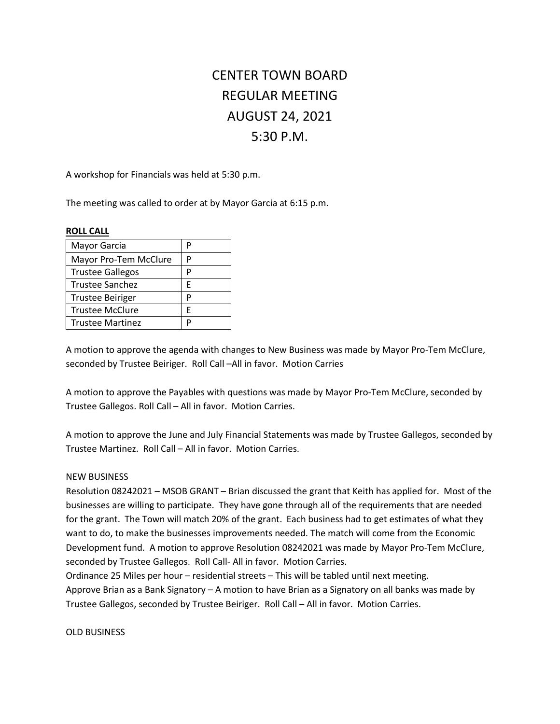## CENTER TOWN BOARD REGULAR MEETING AUGUST 24, 2021 5:30 P.M.

A workshop for Financials was held at 5:30 p.m.

The meeting was called to order at by Mayor Garcia at 6:15 p.m.

## **ROLL CALL**

| р |
|---|
| P |
| P |
| F |
| D |
| F |
| D |
|   |

A motion to approve the agenda with changes to New Business was made by Mayor Pro-Tem McClure, seconded by Trustee Beiriger. Roll Call –All in favor. Motion Carries

A motion to approve the Payables with questions was made by Mayor Pro-Tem McClure, seconded by Trustee Gallegos. Roll Call – All in favor. Motion Carries.

A motion to approve the June and July Financial Statements was made by Trustee Gallegos, seconded by Trustee Martinez. Roll Call – All in favor. Motion Carries.

## NEW BUSINESS

Resolution 08242021 – MSOB GRANT – Brian discussed the grant that Keith has applied for. Most of the businesses are willing to participate. They have gone through all of the requirements that are needed for the grant. The Town will match 20% of the grant. Each business had to get estimates of what they want to do, to make the businesses improvements needed. The match will come from the Economic Development fund. A motion to approve Resolution 08242021 was made by Mayor Pro-Tem McClure, seconded by Trustee Gallegos. Roll Call- All in favor. Motion Carries.

Ordinance 25 Miles per hour – residential streets – This will be tabled until next meeting. Approve Brian as a Bank Signatory – A motion to have Brian as a Signatory on all banks was made by Trustee Gallegos, seconded by Trustee Beiriger. Roll Call – All in favor. Motion Carries.

OLD BUSINESS